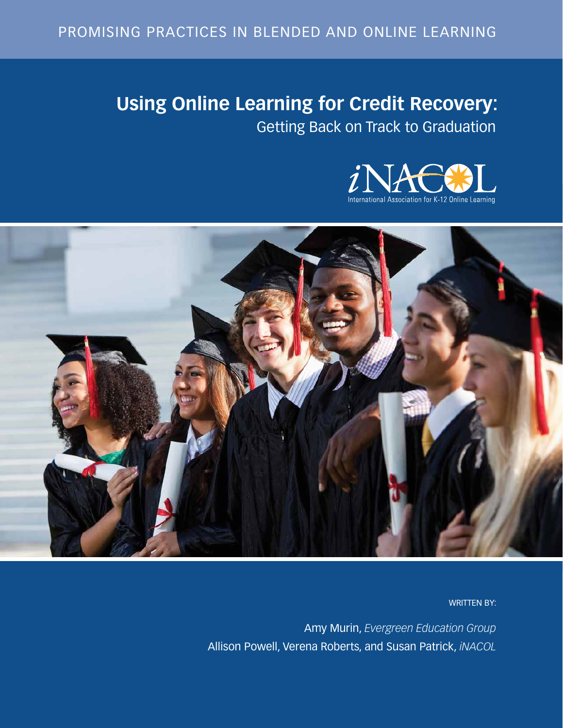# **Using Online Learning for Credit Recovery:** Getting Back on Track to Graduation





WRITTEN BY:

Amy Murin, *Evergreen Education Group* Allison Powell, Verena Roberts, and Susan Patrick, *iNACOL*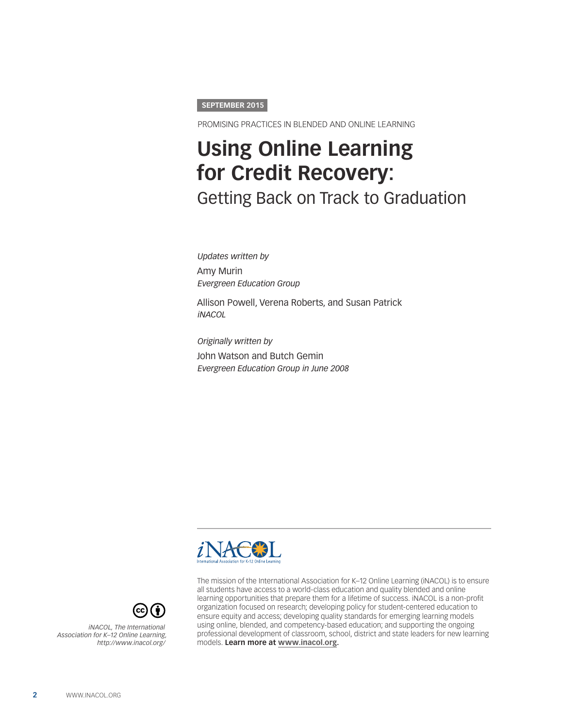#### **SEPTEMBER 2015**

PROMISING PRACTICES IN BLENDED AND ONLINE LEARNING

# **Using Online Learning for Credit Recovery:**  Getting Back on Track to Graduation

*Updates written by*  Amy Murin *Evergreen Education Group*

Allison Powell, Verena Roberts, and Susan Patrick *iNACOL*

*Originally written by* John Watson and Butch Gemin *Evergreen Education Group in June 2008*





*iNACOL, The International Association for K–12 Online Learning, http://www.inacol.org/* The mission of the International Association for K–12 Online Learning (iNACOL) is to ensure all students have access to a world-class education and quality blended and online learning opportunities that prepare them for a lifetime of success. iNACOL is a non-profit organization focused on research; developing policy for student-centered education to ensure equity and access; developing quality standards for emerging learning models using online, blended, and competency-based education; and supporting the ongoing professional development of classroom, school, district and state leaders for new learning models. **Learn more at [www.inacol.org.](http://www.inacol.org)**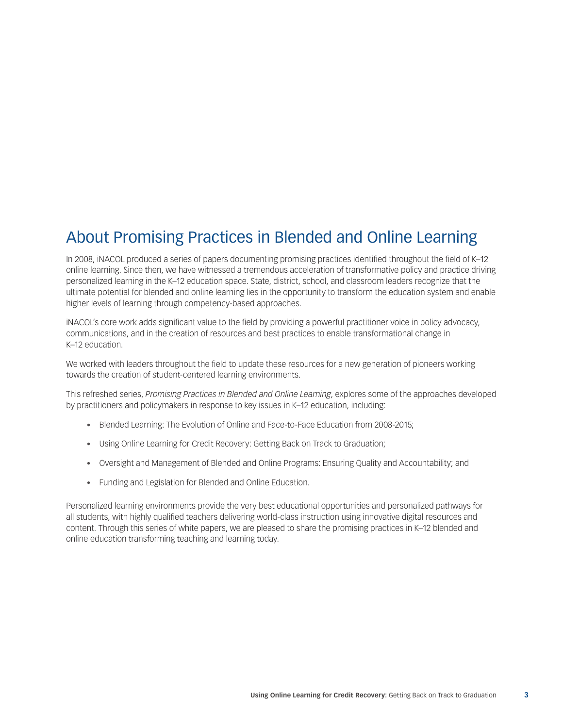## About Promising Practices in Blended and Online Learning

In 2008, iNACOL produced a series of papers documenting promising practices identified throughout the field of K–12 online learning. Since then, we have witnessed a tremendous acceleration of transformative policy and practice driving personalized learning in the K–12 education space. State, district, school, and classroom leaders recognize that the ultimate potential for blended and online learning lies in the opportunity to transform the education system and enable higher levels of learning through competency-based approaches.

iNACOL's core work adds significant value to the field by providing a powerful practitioner voice in policy advocacy, communications, and in the creation of resources and best practices to enable transformational change in K–12 education.

We worked with leaders throughout the field to update these resources for a new generation of pioneers working towards the creation of student-centered learning environments.

This refreshed series, *Promising Practices in Blended and Online Learning*, explores some of the approaches developed by practitioners and policymakers in response to key issues in K–12 education, including:

- Blended Learning: The Evolution of Online and Face-to-Face Education from 2008-2015;
- • Using Online Learning for Credit Recovery: Getting Back on Track to Graduation;
- • Oversight and Management of Blended and Online Programs: Ensuring Quality and Accountability; and
- Funding and Legislation for Blended and Online Education.

Personalized learning environments provide the very best educational opportunities and personalized pathways for all students, with highly qualified teachers delivering world-class instruction using innovative digital resources and content. Through this series of white papers, we are pleased to share the promising practices in K–12 blended and online education transforming teaching and learning today.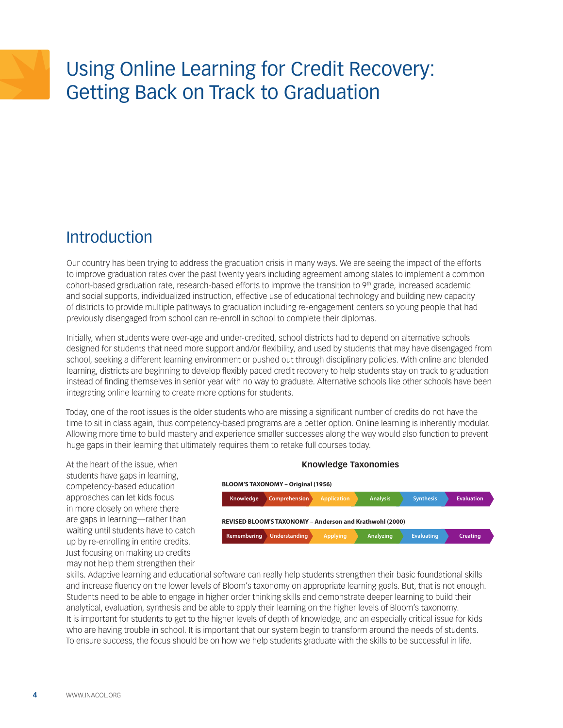# Using Online Learning for Credit Recovery: Getting Back on Track to Graduation

## **Introduction**

Our country has been trying to address the graduation crisis in many ways. We are seeing the impact of the efforts to improve graduation rates over the past twenty years including agreement among states to implement a common cohort-based graduation rate, research-based efforts to improve the transition to 9th grade, increased academic and social supports, individualized instruction, effective use of educational technology and building new capacity of districts to provide multiple pathways to graduation including re-engagement centers so young people that had previously disengaged from school can re-enroll in school to complete their diplomas.

Initially, when students were over-age and under-credited, school districts had to depend on alternative schools designed for students that need more support and/or flexibility, and used by students that may have disengaged from school, seeking a different learning environment or pushed out through disciplinary policies. With online and blended learning, districts are beginning to develop flexibly paced credit recovery to help students stay on track to graduation instead of finding themselves in senior year with no way to graduate. Alternative schools like other schools have been integrating online learning to create more options for students.

Today, one of the root issues is the older students who are missing a significant number of credits do not have the time to sit in class again, thus competency-based programs are a better option. Online learning is inherently modular. Allowing more time to build mastery and experience smaller successes along the way would also function to prevent huge gaps in their learning that ultimately requires them to retake full courses today.

At the heart of the issue, when students have gaps in learning, competency-based education approaches can let kids focus in more closely on where there are gaps in learning—rather than waiting until students have to catch up by re-enrolling in entire credits. Just focusing on making up credits may not help them strengthen their

## **Knowledge Comprehension Application Analysis Synthesis Evaluation BLOOM'S TAXONOMY – Original (1956) Remembering Understanding Applying Analyzing Evaluating Creating REVISED BLOOM'S TAXONOMY – Anderson and Krathwohl (2000)**

**Knowledge Taxonomies**

skills. Adaptive learning and educational software can really help students strengthen their basic foundational skills and increase fluency on the lower levels of Bloom's taxonomy on appropriate learning goals. But, that is not enough. Students need to be able to engage in higher order thinking skills and demonstrate deeper learning to build their analytical, evaluation, synthesis and be able to apply their learning on the higher levels of Bloom's taxonomy. **Retrieval Comprehension Analysis Knowledge Utilization** It is important for students to get to the higher levels of depth of knowledge, and an especially critical issue for kids who are having trouble in school. It is important that our system begin to transform around the needs of students. To ensure success, the focus should be on how we help students graduate with the skills to be successful in life.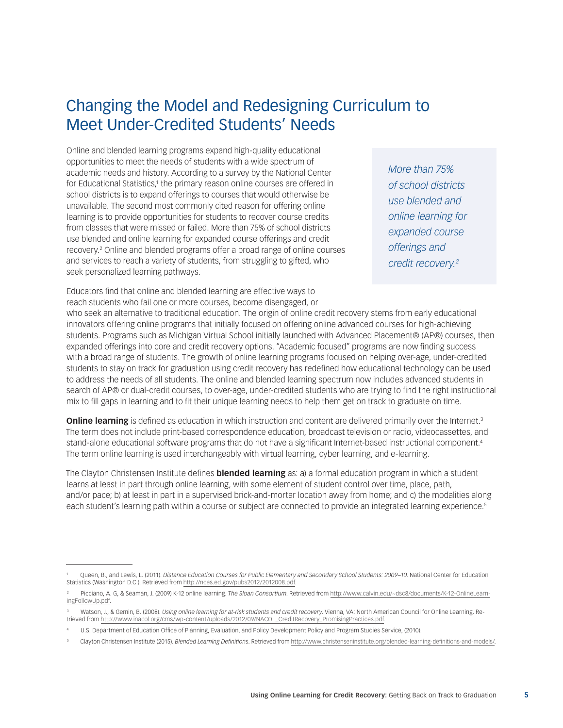## Changing the Model and Redesigning Curriculum to Meet Under-Credited Students' Needs

Online and blended learning programs expand high-quality educational opportunities to meet the needs of students with a wide spectrum of academic needs and history. According to a survey by the National Center for Educational Statistics,<sup>1</sup> the primary reason online courses are offered in school districts is to expand offerings to courses that would otherwise be unavailable. The second most commonly cited reason for offering online learning is to provide opportunities for students to recover course credits from classes that were missed or failed. More than 75% of school districts use blended and online learning for expanded course offerings and credit recovery.2 Online and blended programs offer a broad range of online courses and services to reach a variety of students, from struggling to gifted, who seek personalized learning pathways.

Educators find that online and blended learning are effective ways to reach students who fail one or more courses, become disengaged, or *More than 75% of school districts use blended and online learning for expanded course offerings and credit recovery.2*

who seek an alternative to traditional education. The origin of online credit recovery stems from early educational innovators offering online programs that initially focused on offering online advanced courses for high-achieving students. Programs such as Michigan Virtual School initially launched with Advanced Placement® (AP®) courses, then expanded offerings into core and credit recovery options. "Academic focused" programs are now finding success with a broad range of students. The growth of online learning programs focused on helping over-age, under-credited students to stay on track for graduation using credit recovery has redefined how educational technology can be used to address the needs of all students. The online and blended learning spectrum now includes advanced students in search of AP® or dual-credit courses, to over-age, under-credited students who are trying to find the right instructional mix to fill gaps in learning and to fit their unique learning needs to help them get on track to graduate on time.

**Online learning** is defined as education in which instruction and content are delivered primarily over the Internet.<sup>3</sup> The term does not include print-based correspondence education, broadcast television or radio, videocassettes, and stand-alone educational software programs that do not have a significant Internet-based instructional component.<sup>4</sup> The term online learning is used interchangeably with virtual learning, cyber learning, and e-learning.

The Clayton Christensen Institute defines **blended learning** as: a) a formal education program in which a student learns at least in part through online learning, with some element of student control over time, place, path, and/or pace; b) at least in part in a supervised brick-and-mortar location away from home; and c) the modalities along each student's learning path within a course or subject are connected to provide an integrated learning experience.<sup>5</sup>

<sup>1</sup> Queen, B., and Lewis, L. (2011). *Distance Education Courses for Public Elementary and Secondary School Students: 2009–10*. National Center for Education Statistics (Washington D.C.). Retrieved from <http://nces.ed.gov/pubs2012/2012008.pdf>.

Picciano, A. G, & Seaman, J. (2009) K-12 online learning. *The Sloan Consortium*. Retrieved from [http://www.calvin.edu/~dsc8/documents/K-12-OnlineLearn](http://www.calvin.edu/~dsc8/documents/K-12-OnlineLearningFollowUp.pdf)[ingFollowUp.pdf.](http://www.calvin.edu/~dsc8/documents/K-12-OnlineLearningFollowUp.pdf)

<sup>3</sup> Watson, J., & Gemin, B. (2008). *Using online learning for at-risk students and credit recovery*. Vienna, VA: North American Council for Online Learning. Retrieved from [http://www.inacol.org/cms/wp-content/uploads/2012/09/NACOL\\_CreditRecovery\\_PromisingPractices.pdf.](http://www.inacol.org/cms/wp-content/uploads/2012/09/NACOL_CreditRecovery_PromisingPractices.pdf)

<sup>4</sup> U.S. Department of Education Office of Planning, Evaluation, and Policy Development Policy and Program Studies Service, (2010).

<sup>5</sup> Clayton Christensen Institute (2015). *Blended Learning Definitions*. Retrieved from <http://www.christenseninstitute.org/blended-learning-definitions-and-models>/.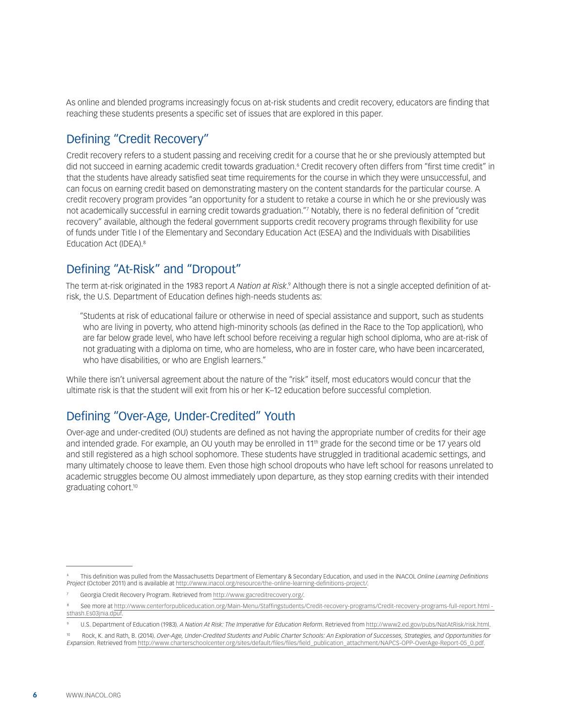As online and blended programs increasingly focus on at-risk students and credit recovery, educators are finding that reaching these students presents a specific set of issues that are explored in this paper.

### Defining "Credit Recovery"

Credit recovery refers to a student passing and receiving credit for a course that he or she previously attempted but did not succeed in earning academic credit towards graduation.6 Credit recovery often differs from "first time credit" in that the students have already satisfied seat time requirements for the course in which they were unsuccessful, and can focus on earning credit based on demonstrating mastery on the content standards for the particular course. A credit recovery program provides "an opportunity for a student to retake a course in which he or she previously was not academically successful in earning credit towards graduation."7 Notably, there is no federal definition of "credit recovery" available, although the federal government supports credit recovery programs through flexibility for use of funds under Title I of the Elementary and Secondary Education Act (ESEA) and the Individuals with Disabilities Education Act (IDEA).<sup>8</sup>

### Defining "At-Risk" and "Dropout"

The term at-risk originated in the 1983 report *A Nation at Risk.*? Although there is not a single accepted definition of atrisk, the U.S. Department of Education defines high-needs students as:

"Students at risk of educational failure or otherwise in need of special assistance and support, such as students who are living in poverty, who attend high-minority schools (as defined in the Race to the Top application), who are far below grade level, who have left school before receiving a regular high school diploma, who are at-risk of not graduating with a diploma on time, who are homeless, who are in foster care, who have been incarcerated, who have disabilities, or who are English learners."

While there isn't universal agreement about the nature of the "risk" itself, most educators would concur that the ultimate risk is that the student will exit from his or her K–12 education before successful completion.

### Defining "Over-Age, Under-Credited" Youth

Over-age and under-credited (OU) students are defined as not having the appropriate number of credits for their age and intended grade. For example, an OU youth may be enrolled in 11th grade for the second time or be 17 years old and still registered as a high school sophomore. These students have struggled in traditional academic settings, and many ultimately choose to leave them. Even those high school dropouts who have left school for reasons unrelated to academic struggles become OU almost immediately upon departure, as they stop earning credits with their intended graduating cohort.<sup>10</sup>

<sup>6</sup> This definition was pulled from the Massachusetts Department of Elementary & Secondary Education, and used in the iNACOL *Online Learning Definitions Project* (October 2011) and is available at<http://www.inacol.org/resource/the-online-learning-definitions-project/>.

<sup>7</sup> Georgia Credit Recovery Program. Retrieved from [http://www.gacreditrecovery.org/.](http://www.gacreditrecovery.org/)

<sup>8</sup> See more at [http://www.centerforpubliceducation.org/Main-Menu/Staffingstudents/Credit-recovery-programs/Credit-recovery-programs-full-report.html](http://www.centerforpubliceducation.org/Main-Menu/Staffingstudents/Credit-recovery-programs/Credit-recovery-programs-full-report.html#sthash.Es03jnia.dpuf)  [sthash.Es03jnia.dpuf.](http://www.centerforpubliceducation.org/Main-Menu/Staffingstudents/Credit-recovery-programs/Credit-recovery-programs-full-report.html#sthash.Es03jnia.dpuf)

<sup>9</sup> U.S. Department of Education (1983). *A Nation At Risk: The Imperative for Education Reform*. Retrieved from<http://www2.ed.gov/pubs/NatAtRisk/risk.html>.

<sup>10</sup> Rock, K. and Rath, B. (2014). *Over-Age, Under-Credited Students and Public Charter Schools: An Exploration of Successes, Strategies, and Opportunities for Expansion*. Retrieved from [http://www.charterschoolcenter.org/sites/default/files/files/field\\_publication\\_attachment/NAPCS-OPP-OverAge-Report-05\\_0.pdf](http://www.charterschoolcenter.org/sites/default/files/files/field_publication_attachment/NAPCS-OPP-OverAge-Report-05_0.pdf).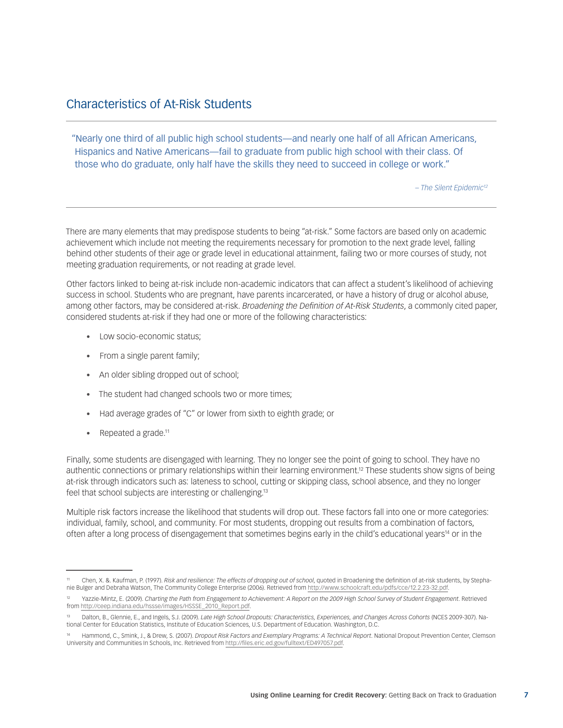### Characteristics of At-Risk Students

"Nearly one third of all public high school students—and nearly one half of all African Americans, Hispanics and Native Americans—fail to graduate from public high school with their class. Of those who do graduate, only half have the skills they need to succeed in college or work."

*– The Silent Epidemic12*

There are many elements that may predispose students to being "at-risk." Some factors are based only on academic achievement which include not meeting the requirements necessary for promotion to the next grade level, falling behind other students of their age or grade level in educational attainment, failing two or more courses of study, not meeting graduation requirements, or not reading at grade level.

Other factors linked to being at-risk include non-academic indicators that can affect a student's likelihood of achieving success in school. Students who are pregnant, have parents incarcerated, or have a history of drug or alcohol abuse, among other factors, may be considered at-risk. *Broadening the Definition of At-Risk Students*, a commonly cited paper, considered students at-risk if they had one or more of the following characteristics:

- Low socio-economic status:
- From a single parent family;
- An older sibling dropped out of school;
- The student had changed schools two or more times;
- Had average grades of "C" or lower from sixth to eighth grade; or
- Repeated a grade. $11$

Finally, some students are disengaged with learning. They no longer see the point of going to school. They have no authentic connections or primary relationships within their learning environment.12 These students show signs of being at-risk through indicators such as: lateness to school, cutting or skipping class, school absence, and they no longer feel that school subjects are interesting or challenging.13

Multiple risk factors increase the likelihood that students will drop out. These factors fall into one or more categories: individual, family, school, and community. For most students, dropping out results from a combination of factors, often after a long process of disengagement that sometimes begins early in the child's educational years14 or in the

<sup>11</sup> Chen, X. &. Kaufman, P. (1997). *Risk and resilience: The effects of dropping out of school*, quoted in Broadening the definition of at-risk students, by Stephanie Bulger and Debraha Watson, The Community College Enterprise (2006). Retrieved from <http://www.schoolcraft.edu/pdfs/cce/12.2.23-32.pdf>.

<sup>12</sup> Yazzie-Mintz, E. (2009). *Charting the Path from Engagement to Achievement: A Report on the 2009 High School Survey of Student Engagement*. Retrieved from [http://ceep.indiana.edu/hssse/images/HSSSE\\_2010\\_Report.pdf.](http://ceep.indiana.edu/hssse/images/HSSSE_2010_Report.pdf)

<sup>&</sup>lt;sup>13</sup> Dalton, B., Glennie, E., and Ingels, S.J. (2009). *Late High School Dropouts: Characteristics, Experiences, and Changes Across Cohorts (NCES 2009-307). Na-<br>tional Center for Education Statistics, Institute of Educatio* 

<sup>14</sup> Hammond, C., Smink, J., & Drew, S. (2007). *Dropout Risk Factors and Exemplary Programs: A Technical Report*. National Dropout Prevention Center, Clemson University and Communities In Schools, Inc. Retrieved from [http://files.eric.ed.gov/fulltext/ED497057.pdf.](http://files.eric.ed.gov/fulltext/ED497057.pdf)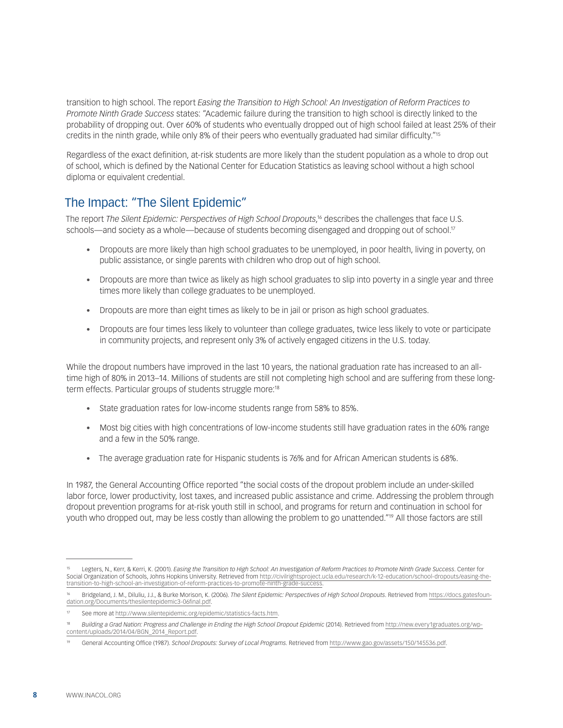transition to high school. The report *Easing the Transition to High School: An Investigation of Reform Practices to Promote Ninth Grade Success* states: "Academic failure during the transition to high school is directly linked to the probability of dropping out. Over 60% of students who eventually dropped out of high school failed at least 25% of their credits in the ninth grade, while only 8% of their peers who eventually graduated had similar difficulty."15

Regardless of the exact definition, at-risk students are more likely than the student population as a whole to drop out of school, which is defined by the National Center for Education Statistics as leaving school without a high school diploma or equivalent credential.

### The Impact: "The Silent Epidemic"

The report *[The Silent Epidemic: Perspectives of High School Dropouts](https://docs.gatesfoundation.org/Documents/thesilentepidemic3-06final.pdf)*, 16 describes the challenges that face U.S. schools—and society as a whole—because of students becoming disengaged and dropping out of school.<sup>17</sup>

- • Dropouts are more likely than high school graduates to be unemployed, in poor health, living in poverty, on public assistance, or single parents with children who drop out of high school.
- • Dropouts are more than twice as likely as high school graduates to slip into poverty in a single year and three times more likely than college graduates to be unemployed.
- Dropouts are more than eight times as likely to be in jail or prison as high school graduates.
- • Dropouts are four times less likely to volunteer than college graduates, twice less likely to vote or participate in community projects, and represent only 3% of actively engaged citizens in the U.S. today.

While the dropout numbers have improved in the last 10 years, the national graduation rate has increased to an alltime high of 80% in 2013–14. Millions of students are still not completing high school and are suffering from these longterm effects. Particular groups of students struggle more:<sup>18</sup>

- State graduation rates for low-income students range from 58% to 85%.
- Most big cities with high concentrations of low-income students still have graduation rates in the 60% range and a few in the 50% range.
- The average graduation rate for Hispanic students is 76% and for African American students is 68%.

In 1987, the General Accounting Office reported "the social costs of the dropout problem include an under-skilled labor force, lower productivity, lost taxes, and increased public assistance and crime. Addressing the problem through dropout prevention programs for at-risk youth still in school, and programs for return and continuation in school for youth who dropped out, may be less costly than allowing the problem to go unattended."19 All those factors are still

<sup>15</sup> Legters, N., Kerr, & Kerri, K. (2001). *Easing the Transition to High School: An Investigation of Reform Practices to Promote Ninth Grade Success*. Center for Social Organization of Schools, Johns Hopkins University. Retrieved from [http://civilrightsproject.ucla.edu/research/k-12-education/school-dropouts/easing-the](http://civilrightsproject.ucla.edu/research/k-12-education/school-dropouts/easing-the-transition-to-high-school-an-investigation-of-reform-practices-to-promote-ninth-grade-success)[transition-to-high-school-an-investigation-of-reform-practices-to-promote-ninth-grade-success.](http://civilrightsproject.ucla.edu/research/k-12-education/school-dropouts/easing-the-transition-to-high-school-an-investigation-of-reform-practices-to-promote-ninth-grade-success)

<sup>16</sup> Bridgeland, J. M., Diluliu, J.J., & Burke Morison, K. (2006). *The Silent Epidemic: Perspectives of High School Dropouts*. Retrieved from [https://docs.gatesfoun](https://docs.gatesfoundation.org/Documents/thesilentepidemic3-06final.pdf)[dation.org/Documents/thesilentepidemic3-06final.pdf](https://docs.gatesfoundation.org/Documents/thesilentepidemic3-06final.pdf).

<sup>17</sup> See more at <http://www.silentepidemic.org/epidemic/statistics-facts.htm>.

<sup>&</sup>lt;sup>18</sup> Building a Grad Nation: Progress and Challenge in Ending the High School Dropout Epidemic (2014). Retrieved from [http://new.every1graduates.org/wp](http://new.every1graduates.org/wp-content/uploads/2014/04/BGN_2014_Report.pdf)[content/uploads/2014/04/BGN\\_2014\\_Report.pdf.](http://new.every1graduates.org/wp-content/uploads/2014/04/BGN_2014_Report.pdf)

<sup>19</sup> General Accounting Office (1987). *School Dropouts: Survey of Local Programs*. Retrieved from [http://www.gao.gov/assets/150/145536.pdf.](http://www.gao.gov/assets/150/145536.pdf)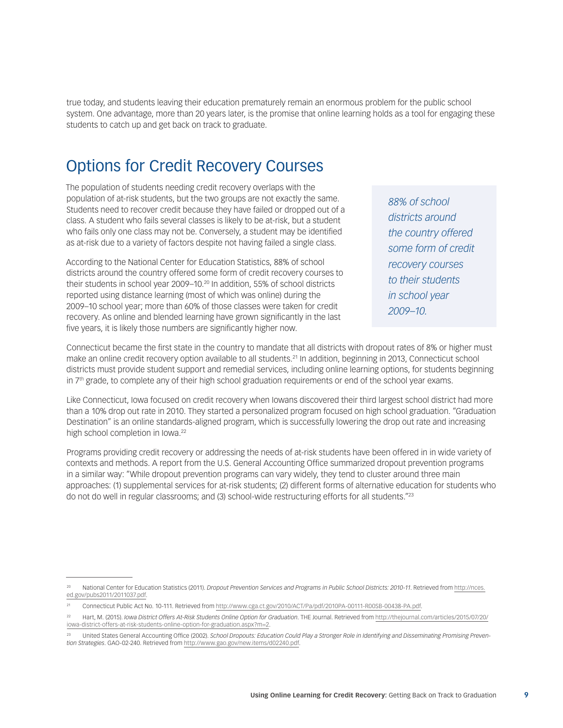true today, and students leaving their education prematurely remain an enormous problem for the public school system. One advantage, more than 20 years later, is the promise that online learning holds as a tool for engaging these students to catch up and get back on track to graduate.

## Options for Credit Recovery Courses

The population of students needing credit recovery overlaps with the population of at-risk students, but the two groups are not exactly the same. Students need to recover credit because they have failed or dropped out of a class. A student who fails several classes is likely to be at-risk, but a student who fails only one class may not be. Conversely, a student may be identified as at-risk due to a variety of factors despite not having failed a single class.

According to the National Center for Education Statistics, 88% of school districts around the country offered some form of credit recovery courses to their students in school year 2009–10.20 In addition, 55% of school districts reported using distance learning (most of which was online) during the 2009–10 school year; more than 60% of those classes were taken for credit recovery. As online and blended learning have grown significantly in the last five years, it is likely those numbers are significantly higher now.

*88% of school districts around the country offered some form of credit recovery courses to their students in school year 2009–10.*

Connecticut became the first state in the country to mandate that all districts with dropout rates of 8% or higher must make an online credit recovery option available to all students.21 In addition, beginning in 2013, Connecticut school districts must provide student support and remedial services, including online learning options, for students beginning in  $7<sup>th</sup>$  grade, to complete any of their high school graduation requirements or end of the school year exams.

Like Connecticut, Iowa focused on credit recovery when Iowans discovered their third largest school district had more than a 10% drop out rate in 2010. They started a personalized program focused on high school graduation. "Graduation Destination" is an online standards-aligned program, which is successfully lowering the drop out rate and increasing high school completion in Iowa.<sup>22</sup>

Programs providing credit recovery or addressing the needs of at-risk students have been offered in in wide variety of contexts and methods. A report from the U.S. General Accounting Office summarized dropout prevention programs in a similar way: "While dropout prevention programs can vary widely, they tend to cluster around three main approaches: (1) supplemental services for at-risk students; (2) different forms of alternative education for students who do not do well in regular classrooms; and (3) school-wide restructuring efforts for all students."23

<sup>20</sup> National Center for Education Statistics (2011). *Dropout Prevention Services and Programs in Public School Districts: 2010-11*. Retrieved from [http://nces.](http://nces.ed.gov/pubs2011/2011037.pdf) [ed.gov/pubs2011/2011037.pdf.](http://nces.ed.gov/pubs2011/2011037.pdf)

<sup>21</sup> Connecticut Public Act No. 10-111. Retrieved from [http://www.cga.ct.gov/2010/ACT/Pa/pdf/2010PA-00111-R00SB-00438-PA.pdf.](http://www.cga.ct.gov/2010/ACT/Pa/pdf/2010PA-00111-R00SB-00438-PA.pdf)

<sup>22</sup> Hart, M. (2015). *Iowa District Offers At-Risk Students Online Option for Graduation*. THE Journal. Retrieved from [http://thejournal.com/articles/2015/07/20/](http://thejournal.com/articles/2015/07/20/iowa-district-offers-at-risk-students-online-option-for-graduation.aspx?m=2) [iowa-district-offers-at-risk-students-online-option-for-graduation.aspx?m=2.](http://thejournal.com/articles/2015/07/20/iowa-district-offers-at-risk-students-online-option-for-graduation.aspx?m=2)

United States General Accounting Office (2002). School Dropouts: Education Could Play a Stronger Role in Identifying and Disseminating Promising Preven*tion Strategies*. GAO-02-240. Retrieved from<http://www.gao.gov/new.items/d02240.pdf>.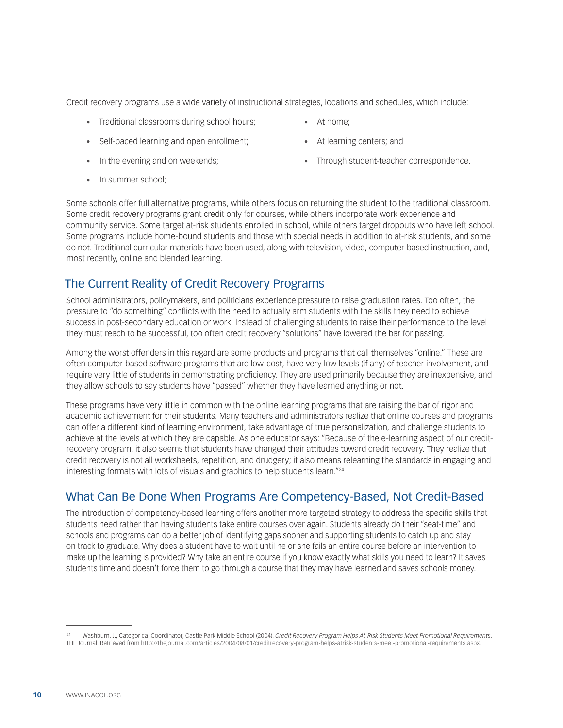Credit recovery programs use a wide variety of instructional strategies, locations and schedules, which include:

- Traditional classrooms during school hours;
- Self-paced learning and open enrollment;
- In the evening and on weekends;
- In summer school:
- At home:
- • At learning centers; and
- Through student-teacher correspondence.

Some schools offer full alternative programs, while others focus on returning the student to the traditional classroom. Some credit recovery programs grant credit only for courses, while others incorporate work experience and community service. Some target at-risk students enrolled in school, while others target dropouts who have left school. Some programs include home-bound students and those with special needs in addition to at-risk students, and some do not. Traditional curricular materials have been used, along with television, video, computer-based instruction, and, most recently, online and blended learning.

### The Current Reality of Credit Recovery Programs

School administrators, policymakers, and politicians experience pressure to raise graduation rates. Too often, the pressure to "do something" conflicts with the need to actually arm students with the skills they need to achieve success in post-secondary education or work. Instead of challenging students to raise their performance to the level they must reach to be successful, too often credit recovery "solutions" have lowered the bar for passing.

Among the worst offenders in this regard are some products and programs that call themselves "online." These are often computer-based software programs that are low-cost, have very low levels (if any) of teacher involvement, and require very little of students in demonstrating proficiency. They are used primarily because they are inexpensive, and they allow schools to say students have "passed" whether they have learned anything or not.

These programs have very little in common with the online learning programs that are raising the bar of rigor and academic achievement for their students. Many teachers and administrators realize that online courses and programs can offer a different kind of learning environment, take advantage of true personalization, and challenge students to achieve at the levels at which they are capable. As one educator says: "Because of the e-learning aspect of our creditrecovery program, it also seems that students have changed their attitudes toward credit recovery. They realize that credit recovery is not all worksheets, repetition, and drudgery; it also means relearning the standards in engaging and interesting formats with lots of visuals and graphics to help students learn."24

### What Can Be Done When Programs Are Competency-Based, Not Credit-Based

The introduction of competency-based learning offers another more targeted strategy to address the specific skills that students need rather than having students take entire courses over again. Students already do their "seat-time" and schools and programs can do a better job of identifying gaps sooner and supporting students to catch up and stay on track to graduate. Why does a student have to wait until he or she fails an entire course before an intervention to make up the learning is provided? Why take an entire course if you know exactly what skills you need to learn? It saves students time and doesn't force them to go through a course that they may have learned and saves schools money.

<sup>24</sup> Washburn, J., Categorical Coordinator, Castle Park Middle School (2004). *Credit Recovery Program Helps At-Risk Students Meet Promotional Requirements*. THE Journal. Retrieved from [http://thejournal.com/articles/2004/08/01/creditrecovery-program-helps-atrisk-students-meet-promotional-requirements.aspx.](http://thejournal.com/articles/2004/08/01/creditrecovery-program-helps-atrisk-students-meet-promotional-requirements.aspx)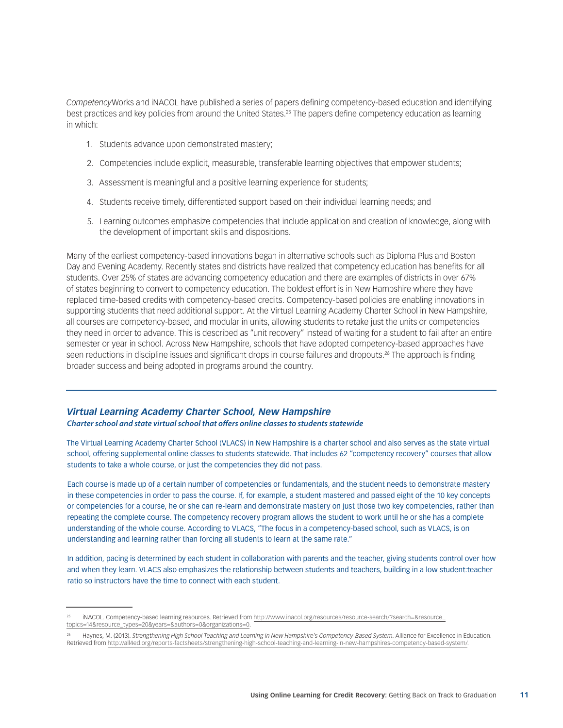*Competency*Works and iNACOL have published a series of papers defining competency-based education and identifying best practices and key policies from around the United States.25 The papers define competency education as learning in which:

- 1. Students advance upon demonstrated mastery;
- 2. Competencies include explicit, measurable, transferable learning objectives that empower students;
- 3. Assessment is meaningful and a positive learning experience for students;
- 4. Students receive timely, differentiated support based on their individual learning needs; and
- 5. Learning outcomes emphasize competencies that include application and creation of knowledge, along with the development of important skills and dispositions.

Many of the earliest competency-based innovations began in alternative schools such as Diploma Plus and Boston Day and Evening Academy. Recently states and districts have realized that competency education has benefits for all students. Over 25% of states are advancing competency education and there are examples of districts in over 67% of states beginning to convert to competency education. The boldest effort is in New Hampshire where they have replaced time-based credits with competency-based credits. Competency-based policies are enabling innovations in supporting students that need additional support. At the Virtual Learning Academy Charter School in New Hampshire, all courses are competency-based, and modular in units, allowing students to retake just the units or competencies they need in order to advance. This is described as "unit recovery" instead of waiting for a student to fail after an entire semester or year in school. Across New Hampshire, schools that have adopted competency-based approaches have seen reductions in discipline issues and significant drops in course failures and dropouts.<sup>26</sup> The approach is finding broader success and being adopted in programs around the country.

#### *Virtual Learning Academy Charter School, New Hampshire*

*Charter school and state virtual school that offers online classes to students statewide*

The Virtual Learning Academy Charter School (VLACS) in New Hampshire is a charter school and also serves as the state virtual school, offering supplemental online classes to students statewide. That includes 62 "competency recovery" courses that allow students to take a whole course, or just the competencies they did not pass.

Each course is made up of a certain number of competencies or fundamentals, and the student needs to demonstrate mastery in these competencies in order to pass the course. If, for example, a student mastered and passed eight of the 10 key concepts or competencies for a course, he or she can re-learn and demonstrate mastery on just those two key competencies, rather than repeating the complete course. The competency recovery program allows the student to work until he or she has a complete understanding of the whole course. According to VLACS, "The focus in a competency-based school, such as VLACS, is on understanding and learning rather than forcing all students to learn at the same rate."

In addition, pacing is determined by each student in collaboration with parents and the teacher, giving students control over how and when they learn. VLACS also emphasizes the relationship between students and teachers, building in a low student:teacher ratio so instructors have the time to connect with each student.

<sup>&</sup>lt;sup>25</sup> iNACOL. Competency-based learning resources. Retrieved from <u>[http://www.inacol.org/resources/resource-search/?search=&resource\\_](http://www.inacol.org/resources/resource-search/?search=&resource_topics=14&resource_types=20&years=&authors=0&organizations=0)</u><br>[topics=14&resource\\_types=20&years=&authors=0&organizations=0](http://www.inacol.org/resources/resource-search/?search=&resource_topics=14&resource_types=20&years=&authors=0&organizations=0).

<sup>26</sup> Haynes, M. (2013). *Strengthening High School Teaching and Learning in New Hampshire's Competency-Based System*. Alliance for Excellence in Education. Retrieved from<http://all4ed.org/reports-factsheets/strengthening-high-school-teaching-and-learning-in-new-hampshires-competency-based-system/>.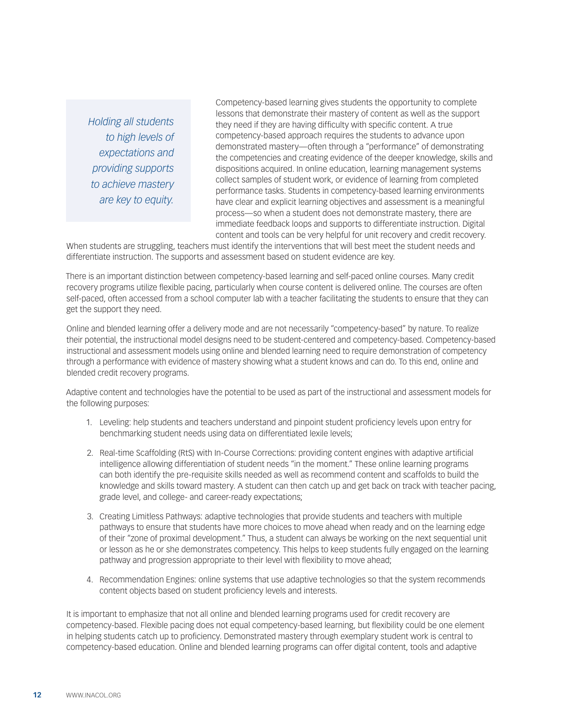*Holding all students to high levels of expectations and providing supports to achieve mastery are key to equity.*

Competency-based learning gives students the opportunity to complete lessons that demonstrate their mastery of content as well as the support they need if they are having difficulty with specific content. A true competency-based approach requires the students to advance upon demonstrated mastery—often through a "performance" of demonstrating the competencies and creating evidence of the deeper knowledge, skills and dispositions acquired. In online education, learning management systems collect samples of student work, or evidence of learning from completed performance tasks. Students in competency-based learning environments have clear and explicit learning objectives and assessment is a meaningful process—so when a student does not demonstrate mastery, there are immediate feedback loops and supports to differentiate instruction. Digital content and tools can be very helpful for unit recovery and credit recovery.

When students are struggling, teachers must identify the interventions that will best meet the student needs and differentiate instruction. The supports and assessment based on student evidence are key.

There is an important distinction between competency-based learning and self-paced online courses. Many credit recovery programs utilize flexible pacing, particularly when course content is delivered online. The courses are often self-paced, often accessed from a school computer lab with a teacher facilitating the students to ensure that they can get the support they need.

Online and blended learning offer a delivery mode and are not necessarily "competency-based" by nature. To realize their potential, the instructional model designs need to be student-centered and competency-based. Competency-based instructional and assessment models using online and blended learning need to require demonstration of competency through a performance with evidence of mastery showing what a student knows and can do. To this end, online and blended credit recovery programs.

Adaptive content and technologies have the potential to be used as part of the instructional and assessment models for the following purposes:

- 1. Leveling: help students and teachers understand and pinpoint student proficiency levels upon entry for benchmarking student needs using data on differentiated lexile levels;
- 2. Real-time Scaffolding (RtS) with In-Course Corrections: providing content engines with adaptive artificial intelligence allowing differentiation of student needs "in the moment." These online learning programs can both identify the pre-requisite skills needed as well as recommend content and scaffolds to build the knowledge and skills toward mastery. A student can then catch up and get back on track with teacher pacing, grade level, and college- and career-ready expectations;
- 3. Creating Limitless Pathways: adaptive technologies that provide students and teachers with multiple pathways to ensure that students have more choices to move ahead when ready and on the learning edge of their "zone of proximal development." Thus, a student can always be working on the next sequential unit or lesson as he or she demonstrates competency. This helps to keep students fully engaged on the learning pathway and progression appropriate to their level with flexibility to move ahead;
- 4. Recommendation Engines: online systems that use adaptive technologies so that the system recommends content objects based on student proficiency levels and interests.

It is important to emphasize that not all online and blended learning programs used for credit recovery are competency-based. Flexible pacing does not equal competency-based learning, but flexibility could be one element in helping students catch up to proficiency. Demonstrated mastery through exemplary student work is central to competency-based education. Online and blended learning programs can offer digital content, tools and adaptive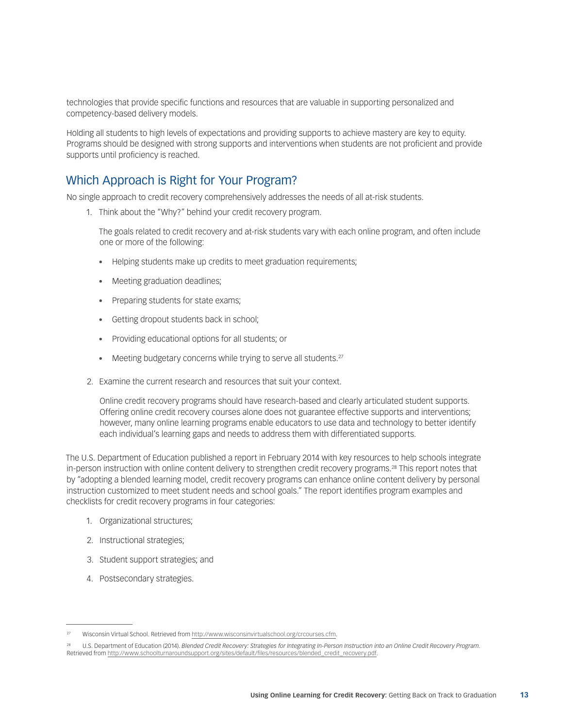technologies that provide specific functions and resources that are valuable in supporting personalized and competency-based delivery models.

Holding all students to high levels of expectations and providing supports to achieve mastery are key to equity. Programs should be designed with strong supports and interventions when students are not proficient and provide supports until proficiency is reached.

### Which Approach is Right for Your Program?

No single approach to credit recovery comprehensively addresses the needs of all at-risk students.

1. Think about the "Why?" behind your credit recovery program.

The goals related to credit recovery and at-risk students vary with each online program, and often include one or more of the following:

- Helping students make up credits to meet graduation requirements;
- Meeting graduation deadlines;
- Preparing students for state exams;
- Getting dropout students back in school;
- • Providing educational options for all students; or
- Meeting budgetary concerns while trying to serve all students.<sup>27</sup>
- 2. Examine the current research and resources that suit your context.

Online credit recovery programs should have research-based and clearly articulated student supports. Offering online credit recovery courses alone does not guarantee effective supports and interventions; however, many online learning programs enable educators to use data and technology to better identify each individual's learning gaps and needs to address them with differentiated supports.

The U.S. Department of Education published a report in February 2014 with key resources to help schools integrate in-person instruction with online content delivery to strengthen credit recovery programs.28 This report notes that by "adopting a blended learning model, credit recovery programs can enhance online content delivery by personal instruction customized to meet student needs and school goals." The report identifies program examples and checklists for credit recovery programs in four categories:

- 1. Organizational structures;
- 2. Instructional strategies;
- 3. Student support strategies; and
- 4. Postsecondary strategies.

<sup>27</sup> Wisconsin Virtual School. Retrieved from <http://www.wisconsinvirtualschool.org/crcourses.cfm>.

<sup>28</sup> U.S. Department of Education (2014). *Blended Credit Recovery: Strategies for Integrating In-Person Instruction into an Online Credit Recovery Program*. Retrieved from [http://www.schoolturnaroundsupport.org/sites/default/files/resources/blended\\_credit\\_recovery.pdf.](http://www.schoolturnaroundsupport.org/sites/default/files/resources/blended_credit_recovery.pdf)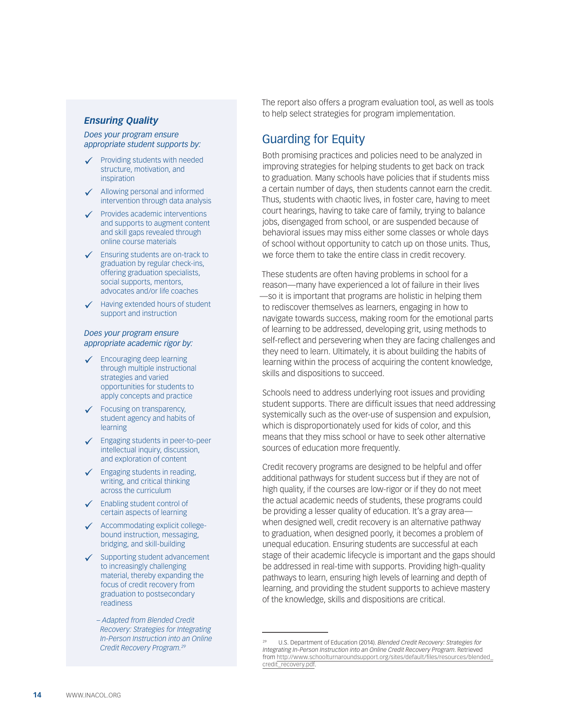#### *Ensuring Quality*

*Does your program ensure appropriate student supports by:*

- $\checkmark$  Providing students with needed structure, motivation, and inspiration
- $\checkmark$  Allowing personal and informed intervention through data analysis
- $\checkmark$  Provides academic interventions and supports to augment content and skill gaps revealed through online course materials
- **►** Ensuring students are on-track to graduation by regular check-ins, offering graduation specialists, social supports, mentors, advocates and/or life coaches
- $\checkmark$  Having extended hours of student support and instruction

#### *Does your program ensure appropriate academic rigor by:*

- $\checkmark$  Encouraging deep learning through multiple instructional strategies and varied opportunities for students to apply concepts and practice
- $\checkmark$  Focusing on transparency, student agency and habits of learning
- **✓** Engaging students in peer-to-peer intellectual inquiry, discussion, and exploration of content
- $\checkmark$  Engaging students in reading, writing, and critical thinking across the curriculum
- Enabling student control of certain aspects of learning
- Accommodating explicit collegebound instruction, messaging, bridging, and skill-building
- $\checkmark$  Supporting student advancement to increasingly challenging material, thereby expanding the focus of credit recovery from graduation to postsecondary readiness
	- *Adapted from Blended Credit Recovery: Strategies for Integrating In-Person Instruction into an Online Credit Recovery Program.29*

The report also offers a program evaluation tool, as well as tools to help select strategies for program implementation.

### Guarding for Equity

Both promising practices and policies need to be analyzed in improving strategies for helping students to get back on track to graduation. Many schools have policies that if students miss a certain number of days, then students cannot earn the credit. Thus, students with chaotic lives, in foster care, having to meet court hearings, having to take care of family, trying to balance jobs, disengaged from school, or are suspended because of behavioral issues may miss either some classes or whole days of school without opportunity to catch up on those units. Thus, we force them to take the entire class in credit recovery.

These students are often having problems in school for a reason—many have experienced a lot of failure in their lives —so it is important that programs are holistic in helping them to rediscover themselves as learners, engaging in how to navigate towards success, making room for the emotional parts of learning to be addressed, developing grit, using methods to self-reflect and persevering when they are facing challenges and they need to learn. Ultimately, it is about building the habits of learning within the process of acquiring the content knowledge, skills and dispositions to succeed.

Schools need to address underlying root issues and providing student supports. There are difficult issues that need addressing systemically such as the over-use of suspension and expulsion, which is disproportionately used for kids of color, and this means that they miss school or have to seek other alternative sources of education more frequently.

Credit recovery programs are designed to be helpful and offer additional pathways for student success but if they are not of high quality, if the courses are low-rigor or if they do not meet the actual academic needs of students, these programs could be providing a lesser quality of education. It's a gray area when designed well, credit recovery is an alternative pathway to graduation, when designed poorly, it becomes a problem of unequal education. Ensuring students are successful at each stage of their academic lifecycle is important and the gaps should be addressed in real-time with supports. Providing high-quality pathways to learn, ensuring high levels of learning and depth of learning, and providing the student supports to achieve mastery of the knowledge, skills and dispositions are critical.

<sup>29</sup> U.S. Department of Education (2014). *Blended Credit Recovery: Strategies for Integrating In-Person Instruction into an Online Credit Recovery Program*. Retrieved from [http://www.schoolturnaroundsupport.org/sites/default/files/resources/blended\\_](http://www.schoolturnaroundsupport.org/sites/default/files/resources/blended_credit_recovery.pdf) [credit\\_recovery.pdf](http://www.schoolturnaroundsupport.org/sites/default/files/resources/blended_credit_recovery.pdf).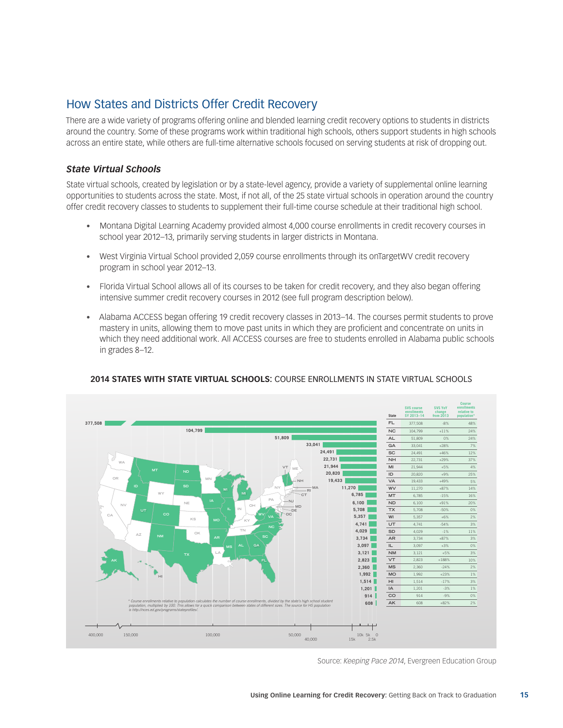### How States and Districts Offer Credit Recovery

There are a wide variety of programs offering online and blended learning credit recovery options to students in districts around the country. Some of these programs work within traditional high schools, others support students in high schools across an entire state, while others are full-time alternative schools focused on serving students at risk of dropping out.

### *State Virtual Schools*

State virtual schools, created by legislation or by a state-level agency, provide a variety of supplemental online learning opportunities to students across the state. Most, if not all, of the 25 state virtual schools in operation around the country offer credit recovery classes to students to supplement their full-time course schedule at their traditional high school.

- Montana Digital Learning Academy provided almost 4,000 course enrollments in credit recovery courses in school year 2012–13, primarily serving students in larger districts in Montana.
- West Virginia Virtual School provided 2,059 course enrollments through its onTargetWV credit recovery program in school year 2012–13.
- Florida Virtual School allows all of its courses to be taken for credit recovery, and they also began offering intensive summer credit recovery courses in 2012 (see full program description below).
- • Alabama ACCESS began offering 19 credit recovery classes in 2013–14. The courses permit students to prove mastery in units, allowing them to move past units in which they are proficient and concentrate on units in which they need additional work. All ACCESS courses are free to students enrolled in Alabama public schools in grades 8–12.



#### **2014 STATES WITH STATE VIRTUAL SCHOOLS:** COURSE ENROLLMENTS IN STATE VIRTUAL S FIGURE 1: COURSE ENROLLMENTS IN STATE VIRTUAL SCHOOLS

Source: *Keeping Pace 2014*, Evergreen Education Group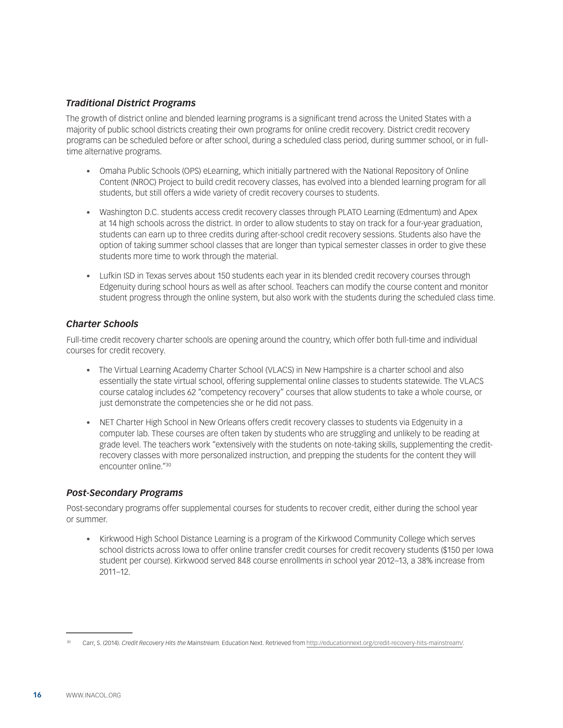### *Traditional District Programs*

The growth of district online and blended learning programs is a significant trend across the United States with a majority of public school districts creating their own programs for online credit recovery. District credit recovery programs can be scheduled before or after school, during a scheduled class period, during summer school, or in fulltime alternative programs.

- Omaha Public Schools (OPS) eLearning, which initially partnered with the National Repository of Online Content (NROC) Project to build credit recovery classes, has evolved into a blended learning program for all students, but still offers a wide variety of credit recovery courses to students.
- Washington D.C. students access credit recovery classes through PLATO Learning (Edmentum) and Apex at 14 high schools across the district. In order to allow students to stay on track for a four-year graduation, students can earn up to three credits during after-school credit recovery sessions. Students also have the option of taking summer school classes that are longer than typical semester classes in order to give these students more time to work through the material.
- Lufkin ISD in Texas serves about 150 students each year in its blended credit recovery courses through Edgenuity during school hours as well as after school. Teachers can modify the course content and monitor student progress through the online system, but also work with the students during the scheduled class time.

### *Charter Schools*

Full-time credit recovery charter schools are opening around the country, which offer both full-time and individual courses for credit recovery.

- • The Virtual Learning Academy Charter School (VLACS) in New Hampshire is a charter school and also essentially the state virtual school, offering supplemental online classes to students statewide. The VLACS course catalog includes 62 "competency recovery" courses that allow students to take a whole course, or just demonstrate the competencies she or he did not pass.
- NET Charter High School in New Orleans offers credit recovery classes to students via Edgenuity in a computer lab. These courses are often taken by students who are struggling and unlikely to be reading at grade level. The teachers work "extensively with the students on note-taking skills, supplementing the creditrecovery classes with more personalized instruction, and prepping the students for the content they will encounter online."30

### *Post-Secondary Programs*

Post-secondary programs offer supplemental courses for students to recover credit, either during the school year or summer.

• Kirkwood High School Distance Learning is a program of the Kirkwood Community College which serves school districts across Iowa to offer online transfer credit courses for credit recovery students (\$150 per Iowa student per course). Kirkwood served 848 course enrollments in school year 2012–13, a 38% increase from 2011–12.

<sup>30</sup> Carr, S. (2014). *Credit Recovery Hits the Mainstream*. Education Next. Retrieved from <http://educationnext.org/credit-recovery-hits-mainstream/>.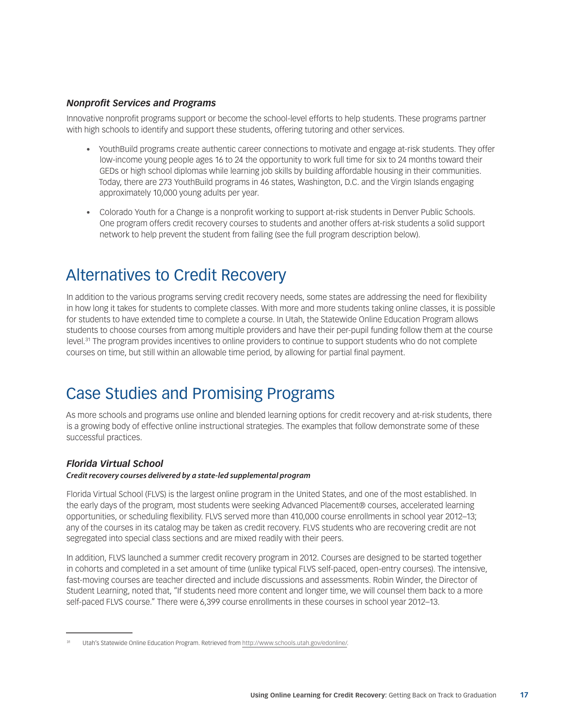#### *Nonprofit Services and Programs*

Innovative nonprofit programs support or become the school-level efforts to help students. These programs partner with high schools to identify and support these students, offering tutoring and other services.

- • YouthBuild programs create authentic career connections to motivate and engage at-risk students. They offer low-income young people ages 16 to 24 the opportunity to work full time for six to 24 months toward their GEDs or high school diplomas while learning job skills by building affordable housing in their communities. Today, there are 273 YouthBuild programs in 46 states, Washington, D.C. and the Virgin Islands engaging approximately 10,000 young adults per year.
- • Colorado Youth for a Change is a nonprofit working to support at-risk students in Denver Public Schools. One program offers credit recovery courses to students and another offers at-risk students a solid support network to help prevent the student from failing (see the full program description below).

## Alternatives to Credit Recovery

In addition to the various programs serving credit recovery needs, some states are addressing the need for flexibility in how long it takes for students to complete classes. With more and more students taking online classes, it is possible for students to have extended time to complete a course. In Utah, the Statewide Online Education Program allows students to choose courses from among multiple providers and have their per-pupil funding follow them at the course level.31 The program provides incentives to online providers to continue to support students who do not complete courses on time, but still within an allowable time period, by allowing for partial final payment.

## Case Studies and Promising Programs

As more schools and programs use online and blended learning options for credit recovery and at-risk students, there is a growing body of effective online instructional strategies. The examples that follow demonstrate some of these successful practices.

### *Florida Virtual School*

*Credit recovery courses delivered by a state-led supplemental program*

Florida Virtual School (FLVS) is the largest online program in the United States, and one of the most established. In the early days of the program, most students were seeking Advanced Placement® courses, accelerated learning opportunities, or scheduling flexibility. FLVS served more than 410,000 course enrollments in school year 2012–13; any of the courses in its catalog may be taken as credit recovery. FLVS students who are recovering credit are not segregated into special class sections and are mixed readily with their peers.

In addition, FLVS launched a summer credit recovery program in 2012. Courses are designed to be started together in cohorts and completed in a set amount of time (unlike typical FLVS self-paced, open-entry courses). The intensive, fast-moving courses are teacher directed and include discussions and assessments. Robin Winder, the Director of Student Learning, noted that, "If students need more content and longer time, we will counsel them back to a more self-paced FLVS course." There were 6,399 course enrollments in these courses in school year 2012–13.

Utah's Statewide Online Education Program. Retrieved from <http://www.schools.utah.gov/edonline/>.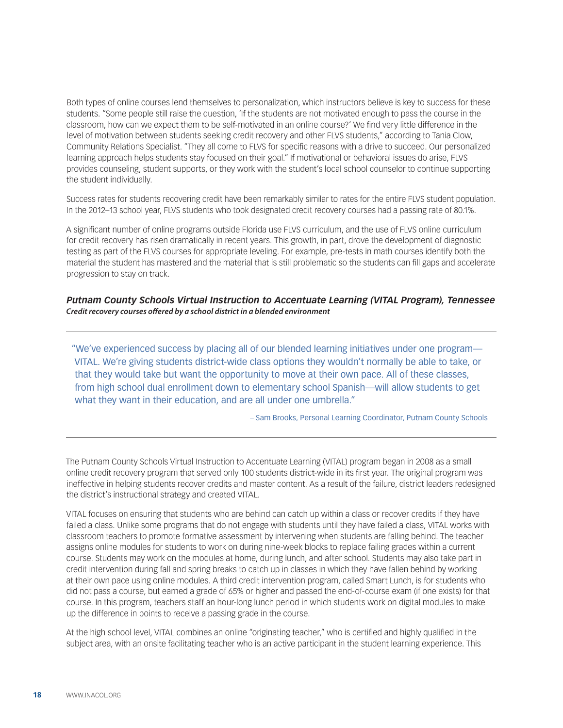Both types of online courses lend themselves to personalization, which instructors believe is key to success for these students. "Some people still raise the question, 'If the students are not motivated enough to pass the course in the classroom, how can we expect them to be self-motivated in an online course?' We find very little difference in the level of motivation between students seeking credit recovery and other FLVS students," according to Tania Clow, Community Relations Specialist. "They all come to FLVS for specific reasons with a drive to succeed. Our personalized learning approach helps students stay focused on their goal." If motivational or behavioral issues do arise, FLVS provides counseling, student supports, or they work with the student's local school counselor to continue supporting the student individually.

Success rates for students recovering credit have been remarkably similar to rates for the entire FLVS student population. In the 2012–13 school year, FLVS students who took designated credit recovery courses had a passing rate of 80.1%.

A significant number of online programs outside Florida use FLVS curriculum, and the use of FLVS online curriculum for credit recovery has risen dramatically in recent years. This growth, in part, drove the development of diagnostic testing as part of the FLVS courses for appropriate leveling. For example, pre-tests in math courses identify both the material the student has mastered and the material that is still problematic so the students can fill gaps and accelerate progression to stay on track.

#### *Putnam County Schools Virtual Instruction to Accentuate Learning (VITAL Program), Tennessee Credit recovery courses offered by a school district in a blended environment*

"We've experienced success by placing all of our blended learning initiatives under one program— VITAL. We're giving students district-wide class options they wouldn't normally be able to take, or that they would take but want the opportunity to move at their own pace. All of these classes, from high school dual enrollment down to elementary school Spanish—will allow students to get what they want in their education, and are all under one umbrella."

– Sam Brooks, Personal Learning Coordinator, Putnam County Schools

The Putnam County Schools Virtual Instruction to Accentuate Learning (VITAL) program began in 2008 as a small online credit recovery program that served only 100 students district-wide in its first year. The original program was ineffective in helping students recover credits and master content. As a result of the failure, district leaders redesigned the district's instructional strategy and created VITAL.

VITAL focuses on ensuring that students who are behind can catch up within a class or recover credits if they have failed a class. Unlike some programs that do not engage with students until they have failed a class, VITAL works with classroom teachers to promote formative assessment by intervening when students are falling behind. The teacher assigns online modules for students to work on during nine-week blocks to replace failing grades within a current course. Students may work on the modules at home, during lunch, and after school. Students may also take part in credit intervention during fall and spring breaks to catch up in classes in which they have fallen behind by working at their own pace using online modules. A third credit intervention program, called Smart Lunch, is for students who did not pass a course, but earned a grade of 65% or higher and passed the end-of-course exam (if one exists) for that course. In this program, teachers staff an hour-long lunch period in which students work on digital modules to make up the difference in points to receive a passing grade in the course.

At the high school level, VITAL combines an online "originating teacher," who is certified and highly qualified in the subject area, with an onsite facilitating teacher who is an active participant in the student learning experience. This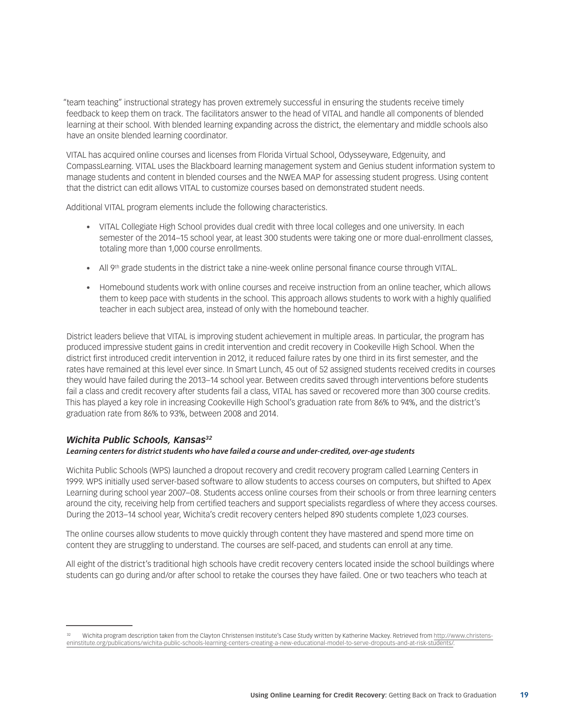"team teaching" instructional strategy has proven extremely successful in ensuring the students receive timely feedback to keep them on track. The facilitators answer to the head of VITAL and handle all components of blended learning at their school. With blended learning expanding across the district, the elementary and middle schools also have an onsite blended learning coordinator.

VITAL has acquired online courses and licenses from Florida Virtual School, Odysseyware, Edgenuity, and CompassLearning. VITAL uses the Blackboard learning management system and Genius student information system to manage students and content in blended courses and the NWEA MAP for assessing student progress. Using content that the district can edit allows VITAL to customize courses based on demonstrated student needs.

Additional VITAL program elements include the following characteristics.

- • VITAL Collegiate High School provides dual credit with three local colleges and one university. In each semester of the 2014–15 school year, at least 300 students were taking one or more dual-enrollment classes, totaling more than 1,000 course enrollments.
- All 9<sup>th</sup> grade students in the district take a nine-week online personal finance course through VITAL.
- • Homebound students work with online courses and receive instruction from an online teacher, which allows them to keep pace with students in the school. This approach allows students to work with a highly qualified teacher in each subject area, instead of only with the homebound teacher.

District leaders believe that VITAL is improving student achievement in multiple areas. In particular, the program has produced impressive student gains in credit intervention and credit recovery in Cookeville High School. When the district first introduced credit intervention in 2012, it reduced failure rates by one third in its first semester, and the rates have remained at this level ever since. In Smart Lunch, 45 out of 52 assigned students received credits in courses they would have failed during the 2013–14 school year. Between credits saved through interventions before students fail a class and credit recovery after students fail a class, VITAL has saved or recovered more than 300 course credits. This has played a key role in increasing Cookeville High School's graduation rate from 86% to 94%, and the district's graduation rate from 86% to 93%, between 2008 and 2014.

### *Wichita Public Schools, Kansas32*

#### *Learning centers for district students who have failed a course and under-credited, over-age students*

Wichita Public Schools (WPS) launched a dropout recovery and credit recovery program called Learning Centers in 1999. WPS initially used server-based software to allow students to access courses on computers, but shifted to Apex Learning during school year 2007–08. Students access online courses from their schools or from three learning centers around the city, receiving help from certified teachers and support specialists regardless of where they access courses. During the 2013–14 school year, Wichita's credit recovery centers helped 890 students complete 1,023 courses.

The online courses allow students to move quickly through content they have mastered and spend more time on content they are struggling to understand. The courses are self-paced, and students can enroll at any time.

All eight of the district's traditional high schools have credit recovery centers located inside the school buildings where students can go during and/or after school to retake the courses they have failed. One or two teachers who teach at

<sup>32</sup> Wichita program description taken from the Clayton Christensen Institute's Case Study written by Katherine Mackey. Retrieved from [http://www.christens](http://www.christenseninstitute.org/publications/wichita-public-schools-learning-centers-creating-a-new-educational-model-to-serve-dropouts-and-at-risk-students/)[eninstitute.org/publications/wichita-public-schools-learning-centers-creating-a-new-educational-model-to-serve-dropouts-and-at-risk-students/](http://www.christenseninstitute.org/publications/wichita-public-schools-learning-centers-creating-a-new-educational-model-to-serve-dropouts-and-at-risk-students/).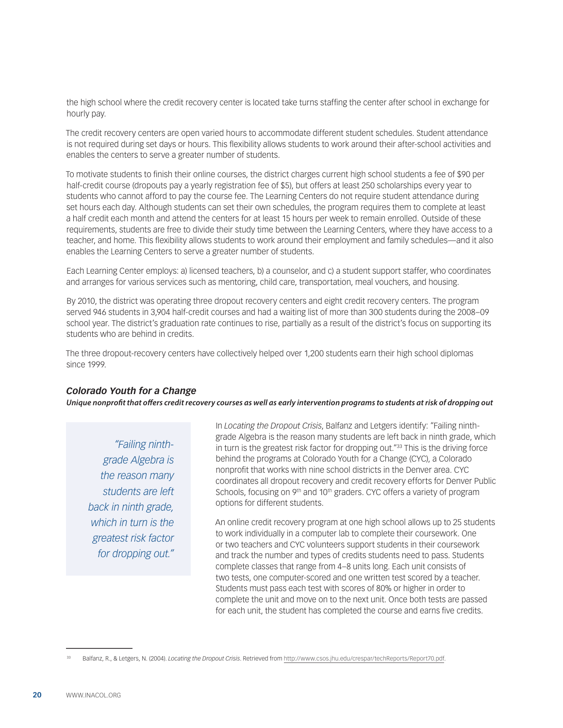the high school where the credit recovery center is located take turns staffing the center after school in exchange for hourly pay.

The credit recovery centers are open varied hours to accommodate different student schedules. Student attendance is not required during set days or hours. This flexibility allows students to work around their after-school activities and enables the centers to serve a greater number of students.

To motivate students to finish their online courses, the district charges current high school students a fee of \$90 per half-credit course (dropouts pay a yearly registration fee of \$5), but offers at least 250 scholarships every year to students who cannot afford to pay the course fee. The Learning Centers do not require student attendance during set hours each day. Although students can set their own schedules, the program requires them to complete at least a half credit each month and attend the centers for at least 15 hours per week to remain enrolled. Outside of these requirements, students are free to divide their study time between the Learning Centers, where they have access to a teacher, and home. This flexibility allows students to work around their employment and family schedules—and it also enables the Learning Centers to serve a greater number of students.

Each Learning Center employs: a) licensed teachers, b) a counselor, and c) a student support staffer, who coordinates and arranges for various services such as mentoring, child care, transportation, meal vouchers, and housing.

By 2010, the district was operating three dropout recovery centers and eight credit recovery centers. The program served 946 students in 3,904 half-credit courses and had a waiting list of more than 300 students during the 2008–09 school year. The district's graduation rate continues to rise, partially as a result of the district's focus on supporting its students who are behind in credits.

The three dropout-recovery centers have collectively helped over 1,200 students earn their high school diplomas since 1999.

#### *Colorado Youth for a Change*

*Unique nonprofit that offers credit recovery courses as well as early intervention programs to students at risk of dropping out*

*"Failing ninthgrade Algebra is the reason many students are left back in ninth grade, which in turn is the greatest risk factor for dropping out."* In *Locating the Dropout Crisis*, Balfanz and Letgers identify: "Failing ninthgrade Algebra is the reason many students are left back in ninth grade, which in turn is the greatest risk factor for dropping out."<sup>33</sup> This is the driving force behind the programs at Colorado Youth for a Change (CYC), a Colorado nonprofit that works with nine school districts in the Denver area. CYC coordinates all dropout recovery and credit recovery efforts for Denver Public Schools, focusing on 9<sup>th</sup> and 10<sup>th</sup> graders. CYC offers a variety of program options for different students.

An online credit recovery program at one high school allows up to 25 students to work individually in a computer lab to complete their coursework. One or two teachers and CYC volunteers support students in their coursework and track the number and types of credits students need to pass. Students complete classes that range from 4–8 units long. Each unit consists of two tests, one computer-scored and one written test scored by a teacher. Students must pass each test with scores of 80% or higher in order to complete the unit and move on to the next unit. Once both tests are passed for each unit, the student has completed the course and earns five credits.

<sup>33</sup> Balfanz, R., & Letgers, N. (2004). *Locating the Dropout Crisis*. Retrieved from <http://www.csos.jhu.edu/crespar/techReports/Report70.pdf>.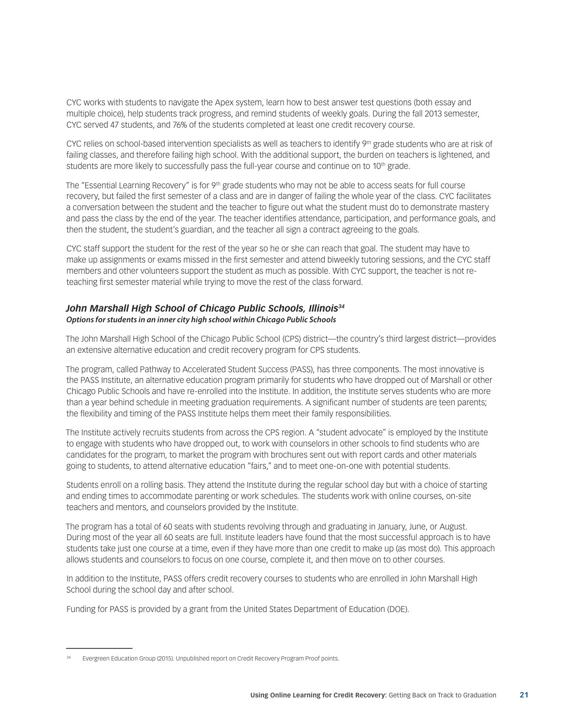CYC works with students to navigate the Apex system, learn how to best answer test questions (both essay and multiple choice), help students track progress, and remind students of weekly goals. During the fall 2013 semester, CYC served 47 students, and 76% of the students completed at least one credit recovery course.

CYC relies on school-based intervention specialists as well as teachers to identify 9th grade students who are at risk of failing classes, and therefore failing high school. With the additional support, the burden on teachers is lightened, and students are more likely to successfully pass the full-year course and continue on to 10<sup>th</sup> grade.

The "Essential Learning Recovery" is for  $9<sup>th</sup>$  grade students who may not be able to access seats for full course recovery, but failed the first semester of a class and are in danger of failing the whole year of the class. CYC facilitates a conversation between the student and the teacher to figure out what the student must do to demonstrate mastery and pass the class by the end of the year. The teacher identifies attendance, participation, and performance goals, and then the student, the student's guardian, and the teacher all sign a contract agreeing to the goals.

CYC staff support the student for the rest of the year so he or she can reach that goal. The student may have to make up assignments or exams missed in the first semester and attend biweekly tutoring sessions, and the CYC staff members and other volunteers support the student as much as possible. With CYC support, the teacher is not reteaching first semester material while trying to move the rest of the class forward.

### John Marshall High School of Chicago Public Schools, Illinois<sup>34</sup> *Options for students in an inner city high school within Chicago Public Schools*

The John Marshall High School of the Chicago Public School (CPS) district—the country's third largest district—provides an extensive alternative education and credit recovery program for CPS students.

The program, called Pathway to Accelerated Student Success (PASS), has three components. The most innovative is the PASS Institute, an alternative education program primarily for students who have dropped out of Marshall or other Chicago Public Schools and have re-enrolled into the Institute. In addition, the Institute serves students who are more than a year behind schedule in meeting graduation requirements. A significant number of students are teen parents; the flexibility and timing of the PASS Institute helps them meet their family responsibilities.

The Institute actively recruits students from across the CPS region. A "student advocate" is employed by the Institute to engage with students who have dropped out, to work with counselors in other schools to find students who are candidates for the program, to market the program with brochures sent out with report cards and other materials going to students, to attend alternative education "fairs," and to meet one-on-one with potential students.

Students enroll on a rolling basis. They attend the Institute during the regular school day but with a choice of starting and ending times to accommodate parenting or work schedules. The students work with online courses, on-site teachers and mentors, and counselors provided by the Institute.

The program has a total of 60 seats with students revolving through and graduating in January, June, or August. During most of the year all 60 seats are full. Institute leaders have found that the most successful approach is to have students take just one course at a time, even if they have more than one credit to make up (as most do). This approach allows students and counselors to focus on one course, complete it, and then move on to other courses.

In addition to the Institute, PASS offers credit recovery courses to students who are enrolled in John Marshall High School during the school day and after school.

Funding for PASS is provided by a grant from the United States Department of Education (DOE).

Evergreen Education Group (2015). Unpublished report on Credit Recovery Program Proof points.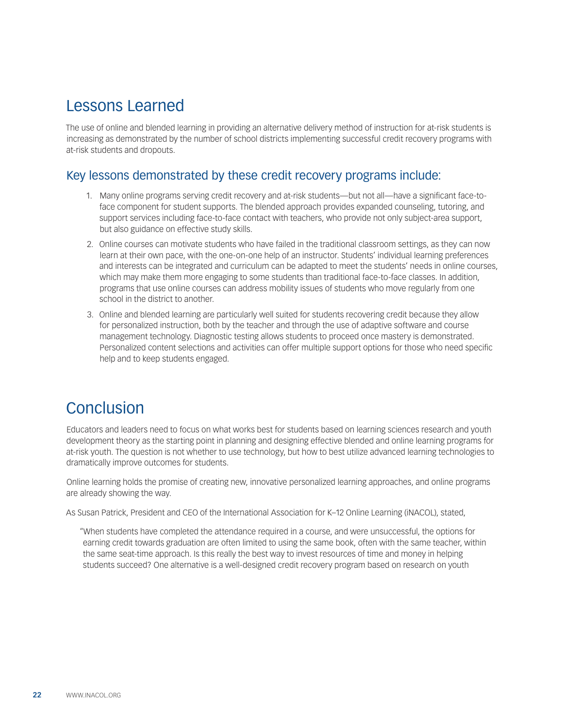## Lessons Learned

The use of online and blended learning in providing an alternative delivery method of instruction for at-risk students is increasing as demonstrated by the number of school districts implementing successful credit recovery programs with at-risk students and dropouts.

### Key lessons demonstrated by these credit recovery programs include:

- 1. Many online programs serving credit recovery and at-risk students—but not all—have a significant face-toface component for student supports. The blended approach provides expanded counseling, tutoring, and support services including face-to-face contact with teachers, who provide not only subject-area support, but also guidance on effective study skills.
- 2. Online courses can motivate students who have failed in the traditional classroom settings, as they can now learn at their own pace, with the one-on-one help of an instructor. Students' individual learning preferences and interests can be integrated and curriculum can be adapted to meet the students' needs in online courses, which may make them more engaging to some students than traditional face-to-face classes. In addition, programs that use online courses can address mobility issues of students who move regularly from one school in the district to another.
- 3. Online and blended learning are particularly well suited for students recovering credit because they allow for personalized instruction, both by the teacher and through the use of adaptive software and course management technology. Diagnostic testing allows students to proceed once mastery is demonstrated. Personalized content selections and activities can offer multiple support options for those who need specific help and to keep students engaged.

## Conclusion

Educators and leaders need to focus on what works best for students based on learning sciences research and youth development theory as the starting point in planning and designing effective blended and online learning programs for at-risk youth. The question is not whether to use technology, but how to best utilize advanced learning technologies to dramatically improve outcomes for students.

Online learning holds the promise of creating new, innovative personalized learning approaches, and online programs are already showing the way.

As Susan Patrick, President and CEO of the International Association for K–12 Online Learning (iNACOL), stated,

"When students have completed the attendance required in a course, and were unsuccessful, the options for earning credit towards graduation are often limited to using the same book, often with the same teacher, within the same seat-time approach. Is this really the best way to invest resources of time and money in helping students succeed? One alternative is a well-designed credit recovery program based on research on youth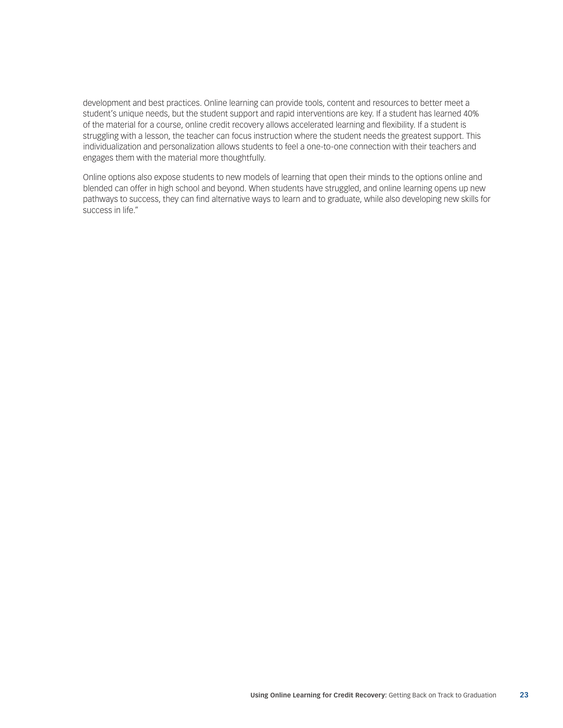development and best practices. Online learning can provide tools, content and resources to better meet a student's unique needs, but the student support and rapid interventions are key. If a student has learned 40% of the material for a course, online credit recovery allows accelerated learning and flexibility. If a student is struggling with a lesson, the teacher can focus instruction where the student needs the greatest support. This individualization and personalization allows students to feel a one-to-one connection with their teachers and engages them with the material more thoughtfully.

Online options also expose students to new models of learning that open their minds to the options online and blended can offer in high school and beyond. When students have struggled, and online learning opens up new pathways to success, they can find alternative ways to learn and to graduate, while also developing new skills for success in life."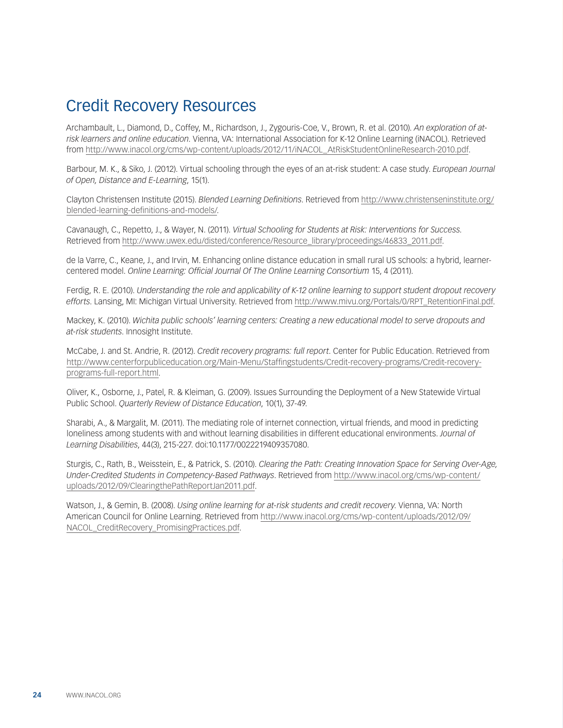## Credit Recovery Resources

Archambault, L., Diamond, D., Coffey, M., Richardson, J., Zygouris-Coe, V., Brown, R. et al. (2010). *An exploration of atrisk learners and online education*. Vienna, VA: International Association for K-12 Online Learning (iNACOL). Retrieved from [http://www.inacol.org/cms/wp-content/uploads/2012/11/iNACOL\\_AtRiskStudentOnlineResearch-2010.pdf.](http://www.inacol.org/cms/wp-content/uploads/2012/11/iNACOL_AtRiskStudentOnlineResearch-2010.pdf)

Barbour, M. K., & Siko, J. (2012). Virtual schooling through the eyes of an at-risk student: A case study. *European Journal of Open, Distance and E-Learning*, 15(1).

Clayton Christensen Institute (2015). *Blended Learning Definitions*. Retrieved from [http://www.christenseninstitute.org/](http://www.christenseninstitute.org/blended-learning-definitions-and-models/) [blended-learning-definitions-and-models/.](http://www.christenseninstitute.org/blended-learning-definitions-and-models/)

Cavanaugh, C., Repetto, J., & Wayer, N. (2011). *Virtual Schooling for Students at Risk: Interventions for Success.* Retrieved from [http://www.uwex.edu/disted/conference/Resource\\_library/proceedings/46833\\_2011.pdf.](http://www.uwex.edu/disted/conference/Resource_library/proceedings/46833_2011.pdf)

de la Varre, C., Keane, J., and Irvin, M. [Enhancing online distance education in small rural US schools: a hybrid, learner](http://olj.onlinelearningconsortium.org/index.php/jaln/article/view/205)[centered model.](http://olj.onlinelearningconsortium.org/index.php/jaln/article/view/205) *Online Learning: Official Journal Of The Online Learning Consortium* 15, 4 (2011).

Ferdig, R. E. (2010). *Understanding the role and applicability of K-12 online learning to support student dropout recovery efforts*. Lansing, MI: Michigan Virtual University. Retrieved from [http://www.mivu.org/Portals/0/RPT\\_RetentionFinal.pdf](http://www.mivu.org/Portals/0/RPT_RetentionFinal.pdf).

Mackey, K. (2010). *Wichita public schools' learning centers: Creating a new educational model to serve dropouts and at-risk students*. Innosight Institute.

McCabe, J. and St. Andrie, R. (2012). *Credit recovery programs: full report*. Center for Public Education. Retrieved from [http://www.centerforpubliceducation.org/Main-Menu/Staffingstudents/Credit-recovery-programs/Credit-recovery](http://www.centerforpubliceducation.org/Main-Menu/Staffingstudents/Credit-recovery-programs/Credit-recovery-programs-full-report.html)[programs-full-report.html](http://www.centerforpubliceducation.org/Main-Menu/Staffingstudents/Credit-recovery-programs/Credit-recovery-programs-full-report.html).

Oliver, K., Osborne, J., Patel, R. & Kleiman, G. (2009). Issues Surrounding the Deployment of a New Statewide Virtual Public School. *Quarterly Review of Distance Education*, 10(1), 37-49.

Sharabi, A., & Margalit, M. (2011). The mediating role of internet connection, virtual friends, and mood in predicting loneliness among students with and without learning disabilities in different educational environments. *Journal of Learning Disabilities*, 44(3), 215-227. doi:10.1177/0022219409357080.

Sturgis, C., Rath, B., Weisstein, E., & Patrick, S. (2010). *Clearing the Path: Creating Innovation Space for Serving Over-Age, Under-Credited Students in Competency-Based Pathways*. Retrieved from [http://www.inacol.org/cms/wp-content/](http://www.inacol.org/cms/wp-content/uploads/2012/09/ClearingthePathReportJan2011.pdf) [uploads/2012/09/ClearingthePathReportJan2011.pdf](http://www.inacol.org/cms/wp-content/uploads/2012/09/ClearingthePathReportJan2011.pdf).

Watson, J., & Gemin, B. (2008). *Using online learning for at-risk students and credit recovery*. Vienna, VA: North American Council for Online Learning. Retrieved from [http://www.inacol.org/cms/wp-content/uploads/2012/09/](http://www.inacol.org/cms/wp-content/uploads/2012/09/NACOL_CreditRecovery_PromisingPractices.pdf) NACOL CreditRecovery PromisingPractices.pdf.